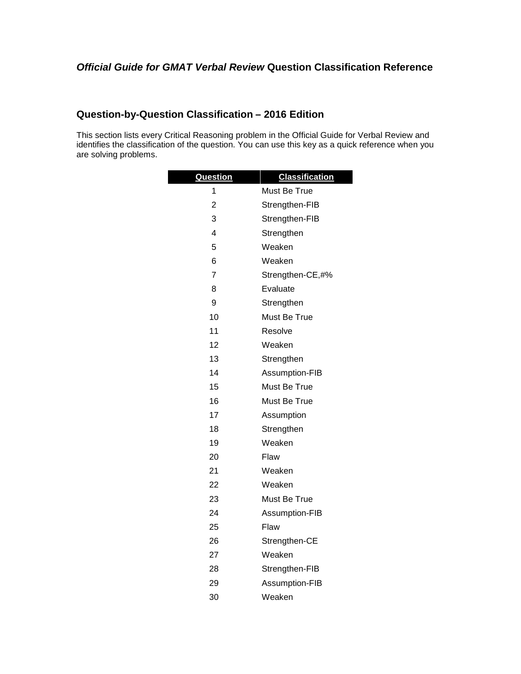## *Official Guide for GMAT Verbal Review* **Question Classification Reference**

## **Question-by-Question Classification – 2016 Edition**

This section lists every Critical Reasoning problem in the Official Guide for Verbal Review and identifies the classification of the question. You can use this key as a quick reference when you are solving problems.

| <b>Question</b>         | <b>Classification</b> |
|-------------------------|-----------------------|
| 1                       | Must Be True          |
| 2                       | Strengthen-FIB        |
| 3                       | Strengthen-FIB        |
| $\overline{\mathbf{4}}$ | Strengthen            |
| 5                       | Weaken                |
| 6                       | Weaken                |
| 7                       | Strengthen-CE,#%      |
| 8                       | Evaluate              |
| 9                       | Strengthen            |
| 10                      | Must Be True          |
| 11                      | Resolve               |
| 12                      | Weaken                |
| 13                      | Strengthen            |
| 14                      | Assumption-FIB        |
| 15                      | Must Be True          |
| 16                      | Must Be True          |
| 17                      | Assumption            |
| 18                      | Strengthen            |
| 19                      | Weaken                |
| 20                      | Flaw                  |
| 21                      | Weaken                |
| 22                      | Weaken                |
| 23                      | Must Be True          |
| 24                      | Assumption-FIB        |
| 25                      | Flaw                  |
| 26                      | Strengthen-CE         |
| 27                      | Weaken                |
| 28                      | Strengthen-FIB        |
| 29                      | Assumption-FIB        |
| 30                      | Weaken                |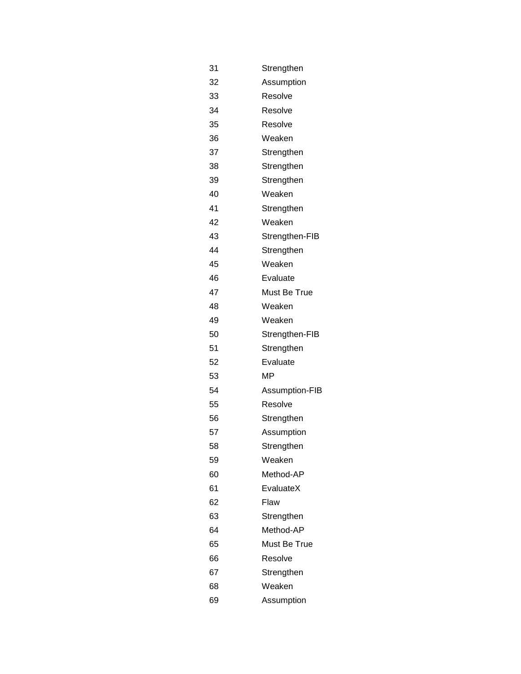| 31 | Strengthen     |
|----|----------------|
| 32 | Assumption     |
| 33 | Resolve        |
| 34 | Resolve        |
| 35 | Resolve        |
| 36 | Weaken         |
| 37 | Strengthen     |
| 38 | Strengthen     |
| 39 | Strengthen     |
| 40 | Weaken         |
| 41 | Strengthen     |
| 42 | Weaken         |
| 43 | Strengthen-FIB |
| 44 | Strengthen     |
| 45 | Weaken         |
| 46 | Evaluate       |
| 47 | Must Be True   |
| 48 | Weaken         |
| 49 | Weaken         |
| 50 | Strengthen-FIB |
| 51 | Strengthen     |
| 52 | Evaluate       |
| 53 | ΜP             |
| 54 | Assumption-FIB |
| 55 | Resolve        |
| 56 | Strengthen     |
| 57 | Assumption     |
| 58 | Strengthen     |
| 59 | Weaken         |
| 60 | Method-AP      |
| 61 | EvaluateX      |
| 62 | Flaw           |
| 63 | Strengthen     |
| 64 | Method-AP      |
| 65 | Must Be True   |
| 66 | Resolve        |
| 67 | Strengthen     |
| 68 | Weaken         |
| 69 | Assumption     |
|    |                |